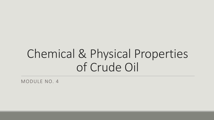# Chemical & Physical Properties of Crude Oil

MODULE NO. 4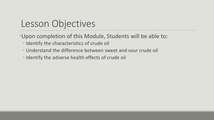# Lesson Objectives

- •Upon completion of this Module, Students will be able to:
	- Identify the characteristics of crude oil
	- Understand the difference between sweet and sour crude oil
	- Identify the adverse health effects of crude oil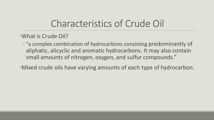- •What is Crude Oil?
	- "a complex combination of hydrocarbons consisting predominantly of aliphatic, alicyclic and aromatic hydrocarbons. It may also contain small amounts of nitrogen, oxygen, and sulfur compounds."
- •Mixed crude oils have varying amounts of each type of hydrocarbon.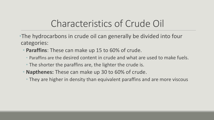- •The hydrocarbons in crude oil can generally be divided into four categories:
	- **Paraffins**: These can make up 15 to 60% of crude.
		- Paraffins are the desired content in crude and what are used to make fuels.
		- The shorter the paraffins are, the lighter the crude is.
	- **Napthenes:** These can make up 30 to 60% of crude.
		- They are higher in density than equivalent paraffins and are more viscous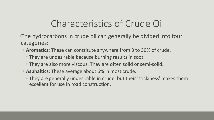- •The hydrocarbons in crude oil can generally be divided into four categories:
	- **Aromatics:** These can constitute anywhere from 3 to 30% of crude.
		- They are undesirable because burning results in soot.
		- They are also more viscous. They are often solid or semi-solid.
	- **Asphaltics**: These average about 6% in most crude.
		- They are generally undesirable in crude, but their 'stickiness' makes them excellent for use in road construction.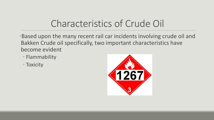- •Based upon the many recent rail car incidents involving crude oil and Bakken Crude oil specifically, two important characteristics have become evident
	- Flammability
	- Toxicity

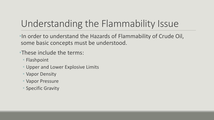# Understanding the Flammability Issue

•In order to understand the Hazards of Flammability of Crude Oil, some basic concepts must be understood.

#### •These include the terms:

- Flashpoint
- Upper and Lower Explosive Limits
- Vapor Density
- Vapor Pressure
- Specific Gravity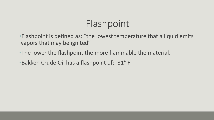# Flashpoint

•Flashpoint is defined as: "the lowest temperature that a liquid emits vapors that may be ignited".

- •The lower the flashpoint the more flammable the material.
- •Bakken Crude Oil has a flashpoint of: -31° F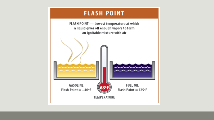#### **FLASH POINT**

FLASH POINT - Lowest temperature at which a liquid gives off enough vapors to form an ignitable mixture with air

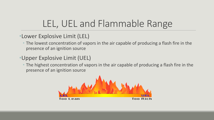# LEL, UEL and Flammable Range

#### •Lower Explosive Limit (LEL)

• The lowest concentration of vapors in the air capable of producing a flash fire in the presence of an ignition source

### •Upper Explosive Limit (UEL)

• The highest concentration of vapors in the air capable of producing a flash fire in the presence of an ignition source

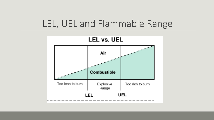### LEL, UEL and Flammable Range

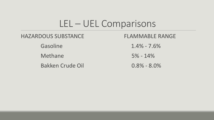### LEL – UEL Comparisons

#### HAZARDOUS SUBSTANCE FLAMMABLE RANGE

Bakken Crude Oil 0.8% - 8.0%

Gasoline 1.4% - 7.6% Methane 5% - 14%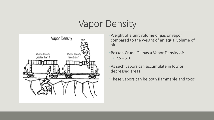# Vapor Density



- •Weight of a unit volume of gas or vapor compared to the weight of an equal volume of air
- •Bakken Crude Oil has a Vapor Density of: •  $2.5 - 5.0$
- •As such vapors can accumulate in low or depressed areas
- •These vapors can be both flammable and toxic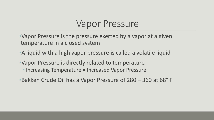### Vapor Pressure

•Vapor Pressure is the pressure exerted by a vapor at a given temperature in a closed system

- •A liquid with a high vapor pressure is called a volatile liquid
- •Vapor Pressure is directly related to temperature
	- Increasing Temperature = Increased Vapor Pressure
- •Bakken Crude Oil has a Vapor Pressure of 280 360 at 68° F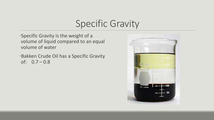### Specific Gravity

•Specific Gravity is the weight of a volume of liquid compared to an equal volume of water

•Bakken Crude Oil has a Specific Gravity of:  $0.7 - 0.8$ 

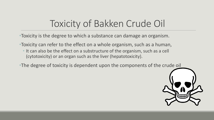# Toxicity of Bakken Crude Oil

•Toxicity is the degree to which a substance can damage an organism.

- •Toxicity can refer to the effect on a whole organism, such as a human,
	- It can also be the effect on a substructure of the organism, such as a cell (cytotoxicity) or an organ such as the liver (hepatotoxicity).
- •The degree of toxicity is dependent upon the components of the crude oil

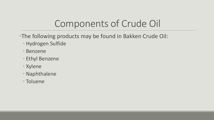# Components of Crude Oil

- •The following products may be found in Bakken Crude Oil:
	- Hydrogen Sulfide
	- Benzene
	- Ethyl Benzene
	- Xylene
	- Naphthalene
	- Toluene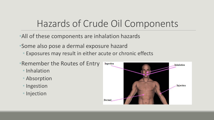# Hazards of Crude Oil Components

- •All of these components are inhalation hazards
- •Some also pose a dermal exposure hazard
	- Exposures may result in either acute or chronic effects
- •Remember the Routes of Entry
	- Inhalation
	- Absorption
	- Ingestion
	- Injection

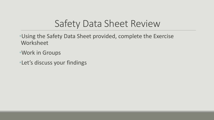# Safety Data Sheet Review

- •Using the Safety Data Sheet provided, complete the Exercise Worksheet
- •Work in Groups
- •Let's discuss your findings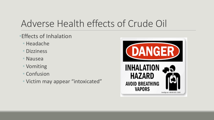# Adverse Health effects of Crude Oil

- •Effects of Inhalation
	- Headache
	- Dizziness
	- Nausea
	- Vomiting
	- Confusion
	- Victim may appear "intoxicated"

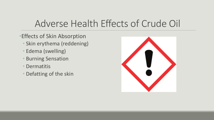# Adverse Health Effects of Crude Oil

- •Effects of Skin Absorption
	- Skin erythema (reddening)
	- Edema (swelling)
	- Burning Sensation
	- Dermatitis
	- Defatting of the skin